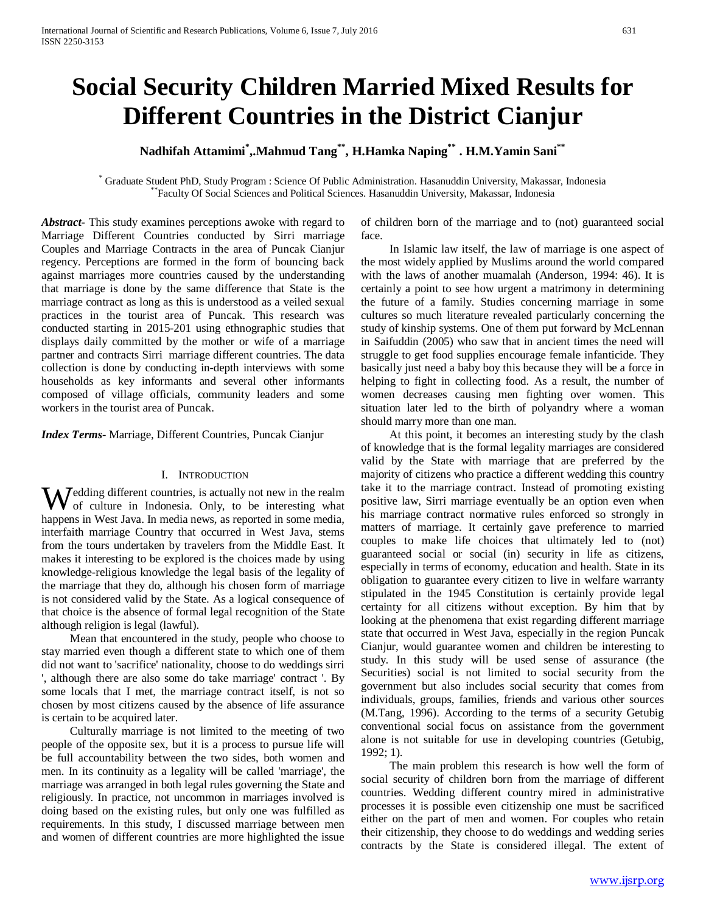# **Social Security Children Married Mixed Results for Different Countries in the District Cianjur**

**Nadhifah Attamimi\* ,.Mahmud Tang\*\*, H.Hamka Naping\*\* . H.M.Yamin Sani\*\***

\* Graduate Student PhD, Study Program : Science Of Public Administration. Hasanuddin University, Makassar, Indonesia \*\*Faculty Of Social Sciences and Political Sciences. Hasanuddin University, Makassar, Indonesia

*Abstract***-** This study examines perceptions awoke with regard to Marriage Different Countries conducted by Sirri marriage Couples and Marriage Contracts in the area of Puncak Cianjur regency. Perceptions are formed in the form of bouncing back against marriages more countries caused by the understanding that marriage is done by the same difference that State is the marriage contract as long as this is understood as a veiled sexual practices in the tourist area of Puncak. This research was conducted starting in 2015-201 using ethnographic studies that displays daily committed by the mother or wife of a marriage partner and contracts Sirri marriage different countries. The data collection is done by conducting in-depth interviews with some households as key informants and several other informants composed of village officials, community leaders and some workers in the tourist area of Puncak.

*Index Terms*- Marriage, Different Countries, Puncak Cianjur

# I. INTRODUCTION

**W** edding different countries, is actually not new in the realm of culture in Indonesia. Only, to be interesting what of culture in Indonesia. Only, to be interesting what happens in West Java. In media news, as reported in some media, interfaith marriage Country that occurred in West Java, stems from the tours undertaken by travelers from the Middle East. It makes it interesting to be explored is the choices made by using knowledge-religious knowledge the legal basis of the legality of the marriage that they do, although his chosen form of marriage is not considered valid by the State. As a logical consequence of that choice is the absence of formal legal recognition of the State although religion is legal (lawful).

 Mean that encountered in the study, people who choose to stay married even though a different state to which one of them did not want to 'sacrifice' nationality, choose to do weddings sirri ', although there are also some do take marriage' contract '. By some locals that I met, the marriage contract itself, is not so chosen by most citizens caused by the absence of life assurance is certain to be acquired later.

 Culturally marriage is not limited to the meeting of two people of the opposite sex, but it is a process to pursue life will be full accountability between the two sides, both women and men. In its continuity as a legality will be called 'marriage', the marriage was arranged in both legal rules governing the State and religiously. In practice, not uncommon in marriages involved is doing based on the existing rules, but only one was fulfilled as requirements. In this study, I discussed marriage between men and women of different countries are more highlighted the issue of children born of the marriage and to (not) guaranteed social face.

 In Islamic law itself, the law of marriage is one aspect of the most widely applied by Muslims around the world compared with the laws of another muamalah (Anderson, 1994: 46). It is certainly a point to see how urgent a matrimony in determining the future of a family. Studies concerning marriage in some cultures so much literature revealed particularly concerning the study of kinship systems. One of them put forward by McLennan in Saifuddin (2005) who saw that in ancient times the need will struggle to get food supplies encourage female infanticide. They basically just need a baby boy this because they will be a force in helping to fight in collecting food. As a result, the number of women decreases causing men fighting over women. This situation later led to the birth of polyandry where a woman should marry more than one man.

 At this point, it becomes an interesting study by the clash of knowledge that is the formal legality marriages are considered valid by the State with marriage that are preferred by the majority of citizens who practice a different wedding this country take it to the marriage contract. Instead of promoting existing positive law, Sirri marriage eventually be an option even when his marriage contract normative rules enforced so strongly in matters of marriage. It certainly gave preference to married couples to make life choices that ultimately led to (not) guaranteed social or social (in) security in life as citizens, especially in terms of economy, education and health. State in its obligation to guarantee every citizen to live in welfare warranty stipulated in the 1945 Constitution is certainly provide legal certainty for all citizens without exception. By him that by looking at the phenomena that exist regarding different marriage state that occurred in West Java, especially in the region Puncak Cianjur, would guarantee women and children be interesting to study. In this study will be used sense of assurance (the Securities) social is not limited to social security from the government but also includes social security that comes from individuals, groups, families, friends and various other sources (M.Tang, 1996). According to the terms of a security Getubig conventional social focus on assistance from the government alone is not suitable for use in developing countries (Getubig, 1992; 1).

 The main problem this research is how well the form of social security of children born from the marriage of different countries. Wedding different country mired in administrative processes it is possible even citizenship one must be sacrificed either on the part of men and women. For couples who retain their citizenship, they choose to do weddings and wedding series contracts by the State is considered illegal. The extent of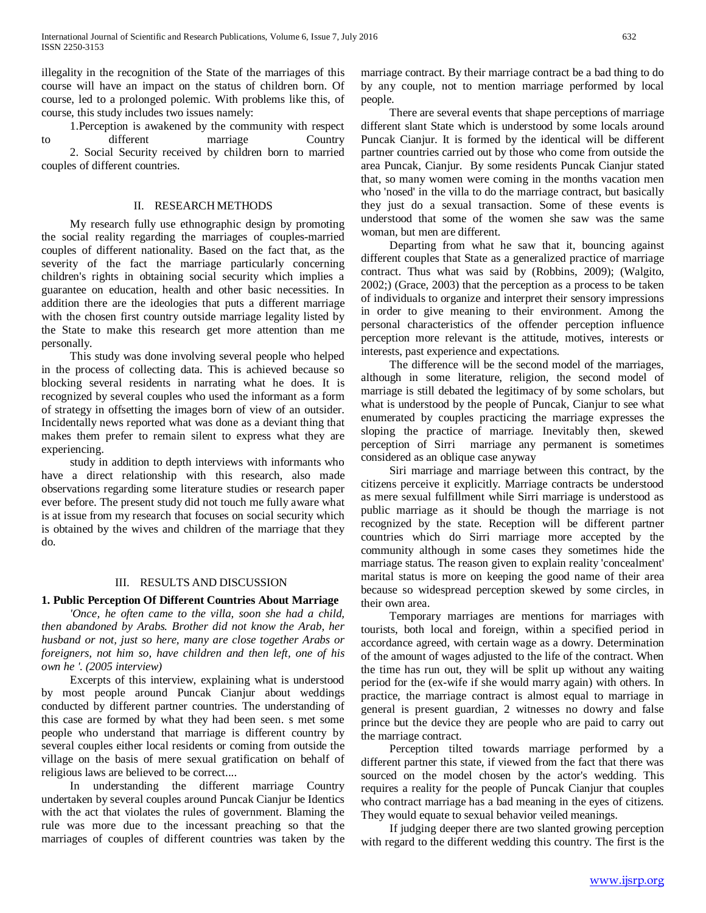illegality in the recognition of the State of the marriages of this course will have an impact on the status of children born. Of course, led to a prolonged polemic. With problems like this, of course, this study includes two issues namely:

 1.Perception is awakened by the community with respect to different marriage Country 2. Social Security received by children born to married couples of different countries.

## II. RESEARCH METHODS

 My research fully use ethnographic design by promoting the social reality regarding the marriages of couples-married couples of different nationality. Based on the fact that, as the severity of the fact the marriage particularly concerning children's rights in obtaining social security which implies a guarantee on education, health and other basic necessities. In addition there are the ideologies that puts a different marriage with the chosen first country outside marriage legality listed by the State to make this research get more attention than me personally.

 This study was done involving several people who helped in the process of collecting data. This is achieved because so blocking several residents in narrating what he does. It is recognized by several couples who used the informant as a form of strategy in offsetting the images born of view of an outsider. Incidentally news reported what was done as a deviant thing that makes them prefer to remain silent to express what they are experiencing.

 study in addition to depth interviews with informants who have a direct relationship with this research, also made observations regarding some literature studies or research paper ever before. The present study did not touch me fully aware what is at issue from my research that focuses on social security which is obtained by the wives and children of the marriage that they do.

## III. RESULTS AND DISCUSSION

# **1. Public Perception Of Different Countries About Marriage**

 *'Once, he often came to the villa, soon she had a child, then abandoned by Arabs. Brother did not know the Arab, her husband or not, just so here, many are close together Arabs or foreigners, not him so, have children and then left, one of his own he '. (2005 interview)*

 Excerpts of this interview, explaining what is understood by most people around Puncak Cianjur about weddings conducted by different partner countries. The understanding of this case are formed by what they had been seen. s met some people who understand that marriage is different country by several couples either local residents or coming from outside the village on the basis of mere sexual gratification on behalf of religious laws are believed to be correct....

 In understanding the different marriage Country undertaken by several couples around Puncak Cianjur be Identics with the act that violates the rules of government. Blaming the rule was more due to the incessant preaching so that the marriages of couples of different countries was taken by the marriage contract. By their marriage contract be a bad thing to do by any couple, not to mention marriage performed by local people.

 There are several events that shape perceptions of marriage different slant State which is understood by some locals around Puncak Cianjur. It is formed by the identical will be different partner countries carried out by those who come from outside the area Puncak, Cianjur. By some residents Puncak Cianjur stated that, so many women were coming in the months vacation men who 'nosed' in the villa to do the marriage contract, but basically they just do a sexual transaction. Some of these events is understood that some of the women she saw was the same woman, but men are different.

 Departing from what he saw that it, bouncing against different couples that State as a generalized practice of marriage contract. Thus what was said by (Robbins, 2009); (Walgito, 2002;) (Grace, 2003) that the perception as a process to be taken of individuals to organize and interpret their sensory impressions in order to give meaning to their environment. Among the personal characteristics of the offender perception influence perception more relevant is the attitude, motives, interests or interests, past experience and expectations.

 The difference will be the second model of the marriages, although in some literature, religion, the second model of marriage is still debated the legitimacy of by some scholars, but what is understood by the people of Puncak, Cianjur to see what enumerated by couples practicing the marriage expresses the sloping the practice of marriage. Inevitably then, skewed perception of Sirri marriage any permanent is sometimes considered as an oblique case anyway

 Siri marriage and marriage between this contract, by the citizens perceive it explicitly. Marriage contracts be understood as mere sexual fulfillment while Sirri marriage is understood as public marriage as it should be though the marriage is not recognized by the state. Reception will be different partner countries which do Sirri marriage more accepted by the community although in some cases they sometimes hide the marriage status. The reason given to explain reality 'concealment' marital status is more on keeping the good name of their area because so widespread perception skewed by some circles, in their own area.

 Temporary marriages are mentions for marriages with tourists, both local and foreign, within a specified period in accordance agreed, with certain wage as a dowry. Determination of the amount of wages adjusted to the life of the contract. When the time has run out, they will be split up without any waiting period for the (ex-wife if she would marry again) with others. In practice, the marriage contract is almost equal to marriage in general is present guardian, 2 witnesses no dowry and false prince but the device they are people who are paid to carry out the marriage contract.

 Perception tilted towards marriage performed by a different partner this state, if viewed from the fact that there was sourced on the model chosen by the actor's wedding. This requires a reality for the people of Puncak Cianjur that couples who contract marriage has a bad meaning in the eyes of citizens. They would equate to sexual behavior veiled meanings.

 If judging deeper there are two slanted growing perception with regard to the different wedding this country. The first is the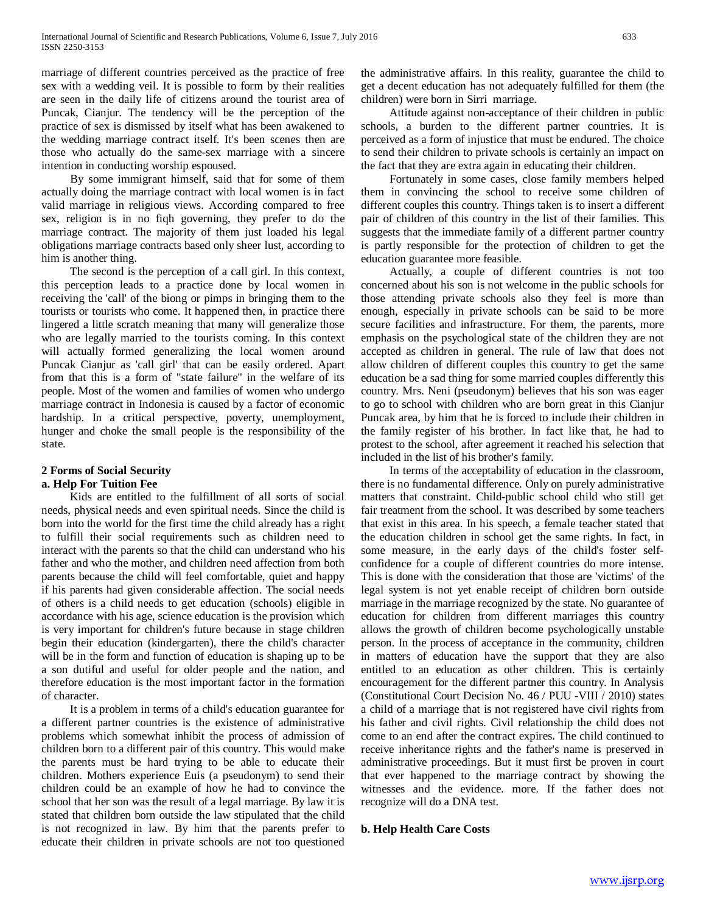marriage of different countries perceived as the practice of free sex with a wedding veil. It is possible to form by their realities are seen in the daily life of citizens around the tourist area of Puncak, Cianjur. The tendency will be the perception of the practice of sex is dismissed by itself what has been awakened to the wedding marriage contract itself. It's been scenes then are those who actually do the same-sex marriage with a sincere intention in conducting worship espoused.

 By some immigrant himself, said that for some of them actually doing the marriage contract with local women is in fact valid marriage in religious views. According compared to free sex, religion is in no fiqh governing, they prefer to do the marriage contract. The majority of them just loaded his legal obligations marriage contracts based only sheer lust, according to him is another thing.

 The second is the perception of a call girl. In this context, this perception leads to a practice done by local women in receiving the 'call' of the biong or pimps in bringing them to the tourists or tourists who come. It happened then, in practice there lingered a little scratch meaning that many will generalize those who are legally married to the tourists coming. In this context will actually formed generalizing the local women around Puncak Cianjur as 'call girl' that can be easily ordered. Apart from that this is a form of "state failure" in the welfare of its people. Most of the women and families of women who undergo marriage contract in Indonesia is caused by a factor of economic hardship. In a critical perspective, poverty, unemployment, hunger and choke the small people is the responsibility of the state.

### **2 Forms of Social Security a. Help For Tuition Fee**

 Kids are entitled to the fulfillment of all sorts of social needs, physical needs and even spiritual needs. Since the child is born into the world for the first time the child already has a right to fulfill their social requirements such as children need to interact with the parents so that the child can understand who his father and who the mother, and children need affection from both parents because the child will feel comfortable, quiet and happy if his parents had given considerable affection. The social needs of others is a child needs to get education (schools) eligible in accordance with his age, science education is the provision which is very important for children's future because in stage children begin their education (kindergarten), there the child's character will be in the form and function of education is shaping up to be a son dutiful and useful for older people and the nation, and therefore education is the most important factor in the formation of character.

 It is a problem in terms of a child's education guarantee for a different partner countries is the existence of administrative problems which somewhat inhibit the process of admission of children born to a different pair of this country. This would make the parents must be hard trying to be able to educate their children. Mothers experience Euis (a pseudonym) to send their children could be an example of how he had to convince the school that her son was the result of a legal marriage. By law it is stated that children born outside the law stipulated that the child is not recognized in law. By him that the parents prefer to educate their children in private schools are not too questioned the administrative affairs. In this reality, guarantee the child to get a decent education has not adequately fulfilled for them (the children) were born in Sirri marriage.

 Attitude against non-acceptance of their children in public schools, a burden to the different partner countries. It is perceived as a form of injustice that must be endured. The choice to send their children to private schools is certainly an impact on the fact that they are extra again in educating their children.

 Fortunately in some cases, close family members helped them in convincing the school to receive some children of different couples this country. Things taken is to insert a different pair of children of this country in the list of their families. This suggests that the immediate family of a different partner country is partly responsible for the protection of children to get the education guarantee more feasible.

 Actually, a couple of different countries is not too concerned about his son is not welcome in the public schools for those attending private schools also they feel is more than enough, especially in private schools can be said to be more secure facilities and infrastructure. For them, the parents, more emphasis on the psychological state of the children they are not accepted as children in general. The rule of law that does not allow children of different couples this country to get the same education be a sad thing for some married couples differently this country. Mrs. Neni (pseudonym) believes that his son was eager to go to school with children who are born great in this Cianjur Puncak area, by him that he is forced to include their children in the family register of his brother. In fact like that, he had to protest to the school, after agreement it reached his selection that included in the list of his brother's family.

 In terms of the acceptability of education in the classroom, there is no fundamental difference. Only on purely administrative matters that constraint. Child-public school child who still get fair treatment from the school. It was described by some teachers that exist in this area. In his speech, a female teacher stated that the education children in school get the same rights. In fact, in some measure, in the early days of the child's foster selfconfidence for a couple of different countries do more intense. This is done with the consideration that those are 'victims' of the legal system is not yet enable receipt of children born outside marriage in the marriage recognized by the state. No guarantee of education for children from different marriages this country allows the growth of children become psychologically unstable person. In the process of acceptance in the community, children in matters of education have the support that they are also entitled to an education as other children. This is certainly encouragement for the different partner this country. In Analysis (Constitutional Court Decision No. 46 / PUU -VIII / 2010) states a child of a marriage that is not registered have civil rights from his father and civil rights. Civil relationship the child does not come to an end after the contract expires. The child continued to receive inheritance rights and the father's name is preserved in administrative proceedings. But it must first be proven in court that ever happened to the marriage contract by showing the witnesses and the evidence. more. If the father does not recognize will do a DNA test.

# **b. Help Health Care Costs**